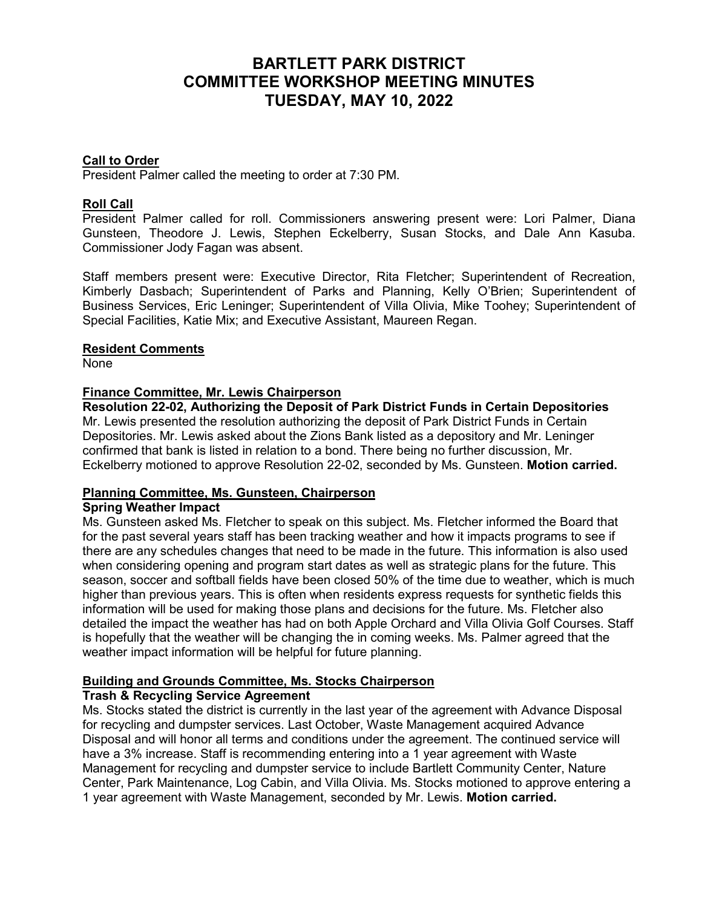## **BARTLETT PARK DISTRICT COMMITTEE WORKSHOP MEETING MINUTES TUESDAY, MAY 10, 2022**

#### **Call to Order**

President Palmer called the meeting to order at 7:30 PM.

#### **Roll Call**

President Palmer called for roll. Commissioners answering present were: Lori Palmer, Diana Gunsteen, Theodore J. Lewis, Stephen Eckelberry, Susan Stocks, and Dale Ann Kasuba. Commissioner Jody Fagan was absent.

Staff members present were: Executive Director, Rita Fletcher; Superintendent of Recreation, Kimberly Dasbach; Superintendent of Parks and Planning, Kelly O'Brien; Superintendent of Business Services, Eric Leninger; Superintendent of Villa Olivia, Mike Toohey; Superintendent of Special Facilities, Katie Mix; and Executive Assistant, Maureen Regan.

#### **Resident Comments**

None

#### **Finance Committee, Mr. Lewis Chairperson**

**Resolution 22-02, Authorizing the Deposit of Park District Funds in Certain Depositories** Mr. Lewis presented the resolution authorizing the deposit of Park District Funds in Certain Depositories. Mr. Lewis asked about the Zions Bank listed as a depository and Mr. Leninger confirmed that bank is listed in relation to a bond. There being no further discussion, Mr. Eckelberry motioned to approve Resolution 22-02, seconded by Ms. Gunsteen. **Motion carried.**

#### **Planning Committee, Ms. Gunsteen, Chairperson**

#### **Spring Weather Impact**

Ms. Gunsteen asked Ms. Fletcher to speak on this subject. Ms. Fletcher informed the Board that for the past several years staff has been tracking weather and how it impacts programs to see if there are any schedules changes that need to be made in the future. This information is also used when considering opening and program start dates as well as strategic plans for the future. This season, soccer and softball fields have been closed 50% of the time due to weather, which is much higher than previous years. This is often when residents express requests for synthetic fields this information will be used for making those plans and decisions for the future. Ms. Fletcher also detailed the impact the weather has had on both Apple Orchard and Villa Olivia Golf Courses. Staff is hopefully that the weather will be changing the in coming weeks. Ms. Palmer agreed that the weather impact information will be helpful for future planning.

# **Building and Grounds Committee, Ms. Stocks Chairperson**

## **Trash & Recycling Service Agreement**

Ms. Stocks stated the district is currently in the last year of the agreement with Advance Disposal for recycling and dumpster services. Last October, Waste Management acquired Advance Disposal and will honor all terms and conditions under the agreement. The continued service will have a 3% increase. Staff is recommending entering into a 1 year agreement with Waste Management for recycling and dumpster service to include Bartlett Community Center, Nature Center, Park Maintenance, Log Cabin, and Villa Olivia. Ms. Stocks motioned to approve entering a 1 year agreement with Waste Management, seconded by Mr. Lewis. **Motion carried.**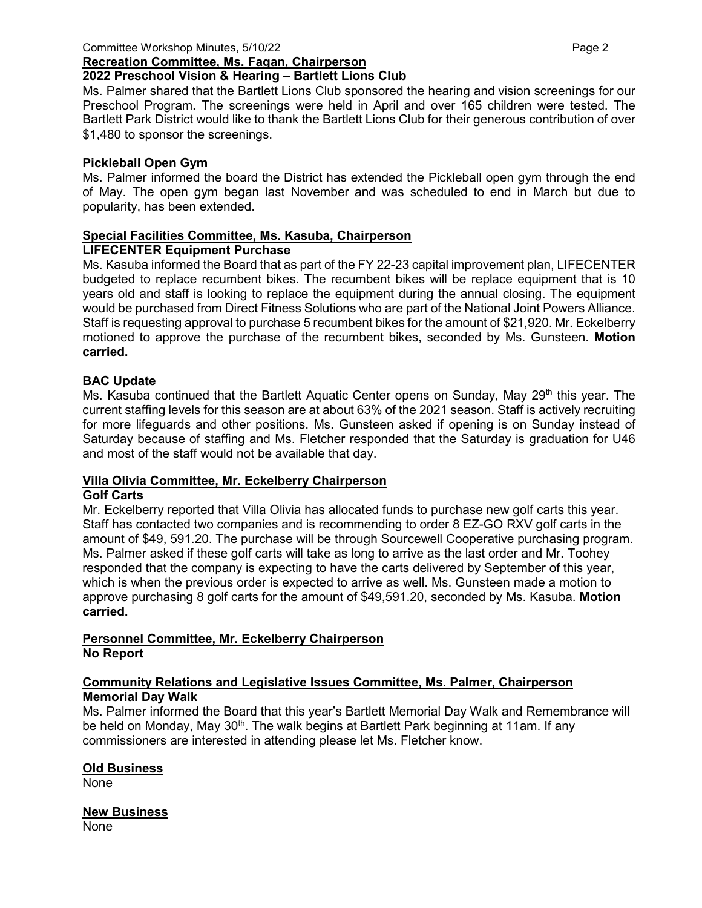#### **Recreation Committee, Ms. Fagan, Chairperson**

## **2022 Preschool Vision & Hearing – Bartlett Lions Club**

Ms. Palmer shared that the Bartlett Lions Club sponsored the hearing and vision screenings for our Preschool Program. The screenings were held in April and over 165 children were tested. The Bartlett Park District would like to thank the Bartlett Lions Club for their generous contribution of over \$1,480 to sponsor the screenings.

## **Pickleball Open Gym**

Ms. Palmer informed the board the District has extended the Pickleball open gym through the end of May. The open gym began last November and was scheduled to end in March but due to popularity, has been extended.

## **Special Facilities Committee, Ms. Kasuba, Chairperson**

## **LIFECENTER Equipment Purchase**

Ms. Kasuba informed the Board that as part of the FY 22-23 capital improvement plan, LIFECENTER budgeted to replace recumbent bikes. The recumbent bikes will be replace equipment that is 10 years old and staff is looking to replace the equipment during the annual closing. The equipment would be purchased from Direct Fitness Solutions who are part of the National Joint Powers Alliance. Staff is requesting approval to purchase 5 recumbent bikes for the amount of \$21,920. Mr. Eckelberry motioned to approve the purchase of the recumbent bikes, seconded by Ms. Gunsteen. **Motion carried.**

## **BAC Update**

Ms. Kasuba continued that the Bartlett Aquatic Center opens on Sunday, May 29<sup>th</sup> this year. The current staffing levels for this season are at about 63% of the 2021 season. Staff is actively recruiting for more lifeguards and other positions. Ms. Gunsteen asked if opening is on Sunday instead of Saturday because of staffing and Ms. Fletcher responded that the Saturday is graduation for U46 and most of the staff would not be available that day.

## **Villa Olivia Committee, Mr. Eckelberry Chairperson**

#### **Golf Carts**

Mr. Eckelberry reported that Villa Olivia has allocated funds to purchase new golf carts this year. Staff has contacted two companies and is recommending to order 8 EZ-GO RXV golf carts in the amount of \$49, 591.20. The purchase will be through Sourcewell Cooperative purchasing program. Ms. Palmer asked if these golf carts will take as long to arrive as the last order and Mr. Toohey responded that the company is expecting to have the carts delivered by September of this year, which is when the previous order is expected to arrive as well. Ms. Gunsteen made a motion to approve purchasing 8 golf carts for the amount of \$49,591.20, seconded by Ms. Kasuba. **Motion carried.**

#### **Personnel Committee, Mr. Eckelberry Chairperson No Report**

#### **Community Relations and Legislative Issues Committee, Ms. Palmer, Chairperson Memorial Day Walk**

Ms. Palmer informed the Board that this year's Bartlett Memorial Day Walk and Remembrance will be held on Monday, May 30<sup>th</sup>. The walk begins at Bartlett Park beginning at 11am. If any commissioners are interested in attending please let Ms. Fletcher know.

#### **Old Business**

None

#### **New Business**

None